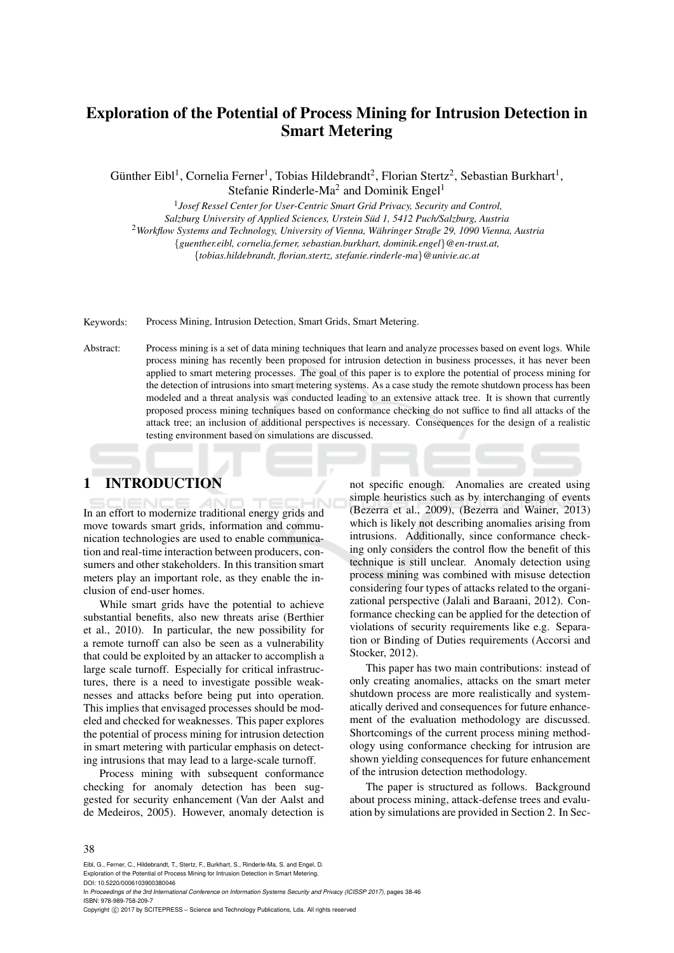# Exploration of the Potential of Process Mining for Intrusion Detection in Smart Metering

Günther Eibl<sup>1</sup>, Cornelia Ferner<sup>1</sup>, Tobias Hildebrandt<sup>2</sup>, Florian Stertz<sup>2</sup>, Sebastian Burkhart<sup>1</sup>, Stefanie Rinderle-Ma<sup>2</sup> and Dominik Engel<sup>1</sup>

1 *Josef Ressel Center for User-Centric Smart Grid Privacy, Security and Control, Salzburg University of Applied Sciences, Urstein Sud 1, 5412 Puch/Salzburg, Austria ¨* <sup>2</sup>*Workflow Systems and Technology, University of Vienna, Wahringer Straße 29, 1090 Vienna, Austria ¨* {*guenther.eibl, cornelia.ferner, sebastian.burkhart, dominik.engel*}*@en-trust.at,* {*tobias.hildebrandt, florian.stertz, stefanie.rinderle-ma*}*@univie.ac.at*

Keywords: Process Mining, Intrusion Detection, Smart Grids, Smart Metering.

Abstract: Process mining is a set of data mining techniques that learn and analyze processes based on event logs. While process mining has recently been proposed for intrusion detection in business processes, it has never been applied to smart metering processes. The goal of this paper is to explore the potential of process mining for the detection of intrusions into smart metering systems. As a case study the remote shutdown process has been modeled and a threat analysis was conducted leading to an extensive attack tree. It is shown that currently proposed process mining techniques based on conformance checking do not suffice to find all attacks of the attack tree; an inclusion of additional perspectives is necessary. Consequences for the design of a realistic testing environment based on simulations are discussed.

# 1 INTRODUCTION

In an effort to modernize traditional energy grids and move towards smart grids, information and communication technologies are used to enable communication and real-time interaction between producers, consumers and other stakeholders. In this transition smart meters play an important role, as they enable the inclusion of end-user homes.

While smart grids have the potential to achieve substantial benefits, also new threats arise (Berthier et al., 2010). In particular, the new possibility for a remote turnoff can also be seen as a vulnerability that could be exploited by an attacker to accomplish a large scale turnoff. Especially for critical infrastructures, there is a need to investigate possible weaknesses and attacks before being put into operation. This implies that envisaged processes should be modeled and checked for weaknesses. This paper explores the potential of process mining for intrusion detection in smart metering with particular emphasis on detecting intrusions that may lead to a large-scale turnoff.

Process mining with subsequent conformance checking for anomaly detection has been suggested for security enhancement (Van der Aalst and de Medeiros, 2005). However, anomaly detection is

not specific enough. Anomalies are created using simple heuristics such as by interchanging of events (Bezerra et al., 2009), (Bezerra and Wainer, 2013) which is likely not describing anomalies arising from intrusions. Additionally, since conformance checking only considers the control flow the benefit of this technique is still unclear. Anomaly detection using process mining was combined with misuse detection considering four types of attacks related to the organizational perspective (Jalali and Baraani, 2012). Conformance checking can be applied for the detection of violations of security requirements like e.g. Separation or Binding of Duties requirements (Accorsi and Stocker, 2012).

This paper has two main contributions: instead of only creating anomalies, attacks on the smart meter shutdown process are more realistically and systematically derived and consequences for future enhancement of the evaluation methodology are discussed. Shortcomings of the current process mining methodology using conformance checking for intrusion are shown yielding consequences for future enhancement of the intrusion detection methodology.

The paper is structured as follows. Background about process mining, attack-defense trees and evaluation by simulations are provided in Section 2. In Sec-

Eibl, G., Ferner, C., Hildebrandt, T., Stertz, F., Burkhart, S., Rinderle-Ma, S. and Engel, D. Exploration of the Potential of Process Mining for Intrusion Detection in Smart Metering.

DOI: 10.5220/0006103900380046

In *Proceedings of the 3rd International Conference on Information Systems Security and Privacy (ICISSP 2017)*, pages 38-46 ISBN: 978-989-758-209-7

Copyright (C) 2017 by SCITEPRESS - Science and Technology Publications, Lda. All rights reserved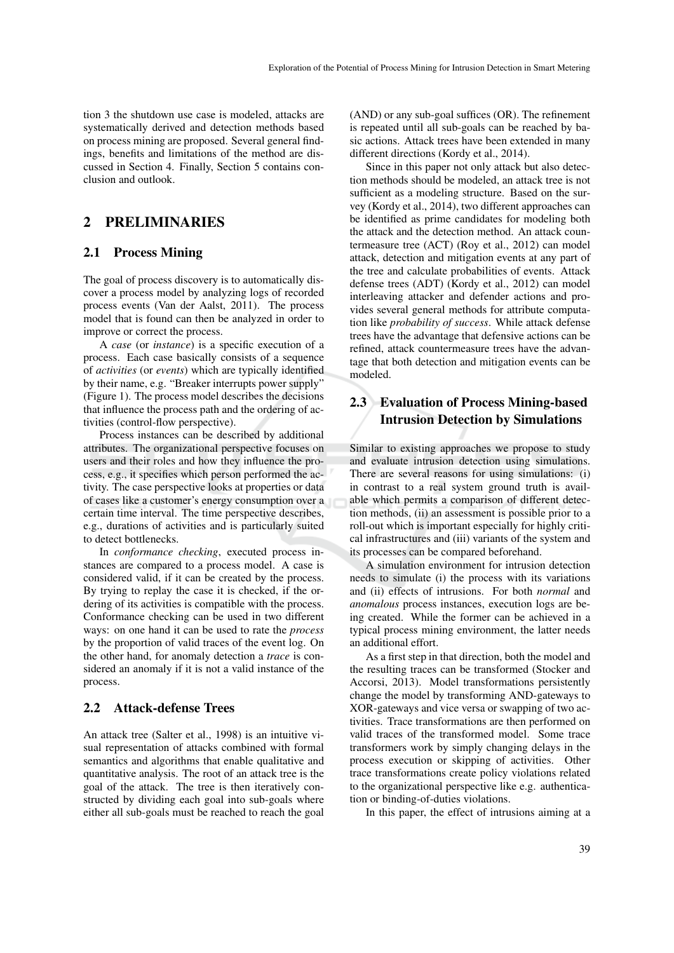tion 3 the shutdown use case is modeled, attacks are systematically derived and detection methods based on process mining are proposed. Several general findings, benefits and limitations of the method are discussed in Section 4. Finally, Section 5 contains conclusion and outlook.

# 2 PRELIMINARIES

### 2.1 Process Mining

The goal of process discovery is to automatically discover a process model by analyzing logs of recorded process events (Van der Aalst, 2011). The process model that is found can then be analyzed in order to improve or correct the process.

A *case* (or *instance*) is a specific execution of a process. Each case basically consists of a sequence of *activities* (or *events*) which are typically identified by their name, e.g. "Breaker interrupts power supply" (Figure 1). The process model describes the decisions that influence the process path and the ordering of activities (control-flow perspective).

Process instances can be described by additional attributes. The organizational perspective focuses on users and their roles and how they influence the process, e.g., it specifies which person performed the activity. The case perspective looks at properties or data of cases like a customer's energy consumption over a certain time interval. The time perspective describes, e.g., durations of activities and is particularly suited to detect bottlenecks.

In *conformance checking*, executed process instances are compared to a process model. A case is considered valid, if it can be created by the process. By trying to replay the case it is checked, if the ordering of its activities is compatible with the process. Conformance checking can be used in two different ways: on one hand it can be used to rate the *process* by the proportion of valid traces of the event log. On the other hand, for anomaly detection a *trace* is considered an anomaly if it is not a valid instance of the process.

### 2.2 Attack-defense Trees

An attack tree (Salter et al., 1998) is an intuitive visual representation of attacks combined with formal semantics and algorithms that enable qualitative and quantitative analysis. The root of an attack tree is the goal of the attack. The tree is then iteratively constructed by dividing each goal into sub-goals where either all sub-goals must be reached to reach the goal

(AND) or any sub-goal suffices (OR). The refinement is repeated until all sub-goals can be reached by basic actions. Attack trees have been extended in many different directions (Kordy et al., 2014).

Since in this paper not only attack but also detection methods should be modeled, an attack tree is not sufficient as a modeling structure. Based on the survey (Kordy et al., 2014), two different approaches can be identified as prime candidates for modeling both the attack and the detection method. An attack countermeasure tree (ACT) (Roy et al., 2012) can model attack, detection and mitigation events at any part of the tree and calculate probabilities of events. Attack defense trees (ADT) (Kordy et al., 2012) can model interleaving attacker and defender actions and provides several general methods for attribute computation like *probability of success*. While attack defense trees have the advantage that defensive actions can be refined, attack countermeasure trees have the advantage that both detection and mitigation events can be modeled.

# 2.3 Evaluation of Process Mining-based Intrusion Detection by Simulations

Similar to existing approaches we propose to study and evaluate intrusion detection using simulations. There are several reasons for using simulations: (i) in contrast to a real system ground truth is available which permits a comparison of different detection methods, (ii) an assessment is possible prior to a roll-out which is important especially for highly critical infrastructures and (iii) variants of the system and its processes can be compared beforehand.

A simulation environment for intrusion detection needs to simulate (i) the process with its variations and (ii) effects of intrusions. For both *normal* and *anomalous* process instances, execution logs are being created. While the former can be achieved in a typical process mining environment, the latter needs an additional effort.

As a first step in that direction, both the model and the resulting traces can be transformed (Stocker and Accorsi, 2013). Model transformations persistently change the model by transforming AND-gateways to XOR-gateways and vice versa or swapping of two activities. Trace transformations are then performed on valid traces of the transformed model. Some trace transformers work by simply changing delays in the process execution or skipping of activities. Other trace transformations create policy violations related to the organizational perspective like e.g. authentication or binding-of-duties violations.

In this paper, the effect of intrusions aiming at a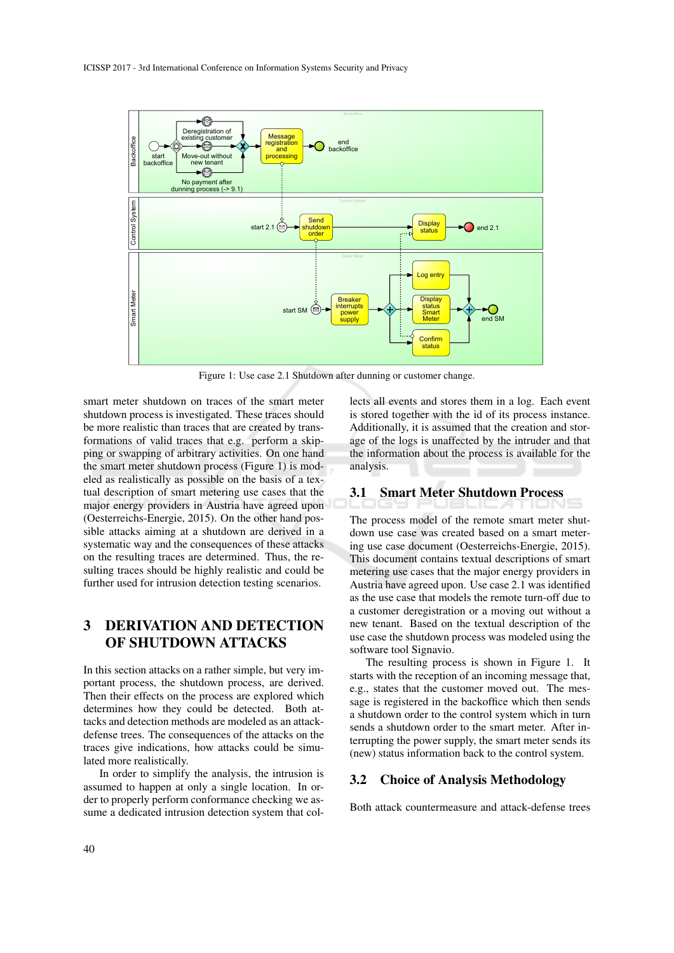

Figure 1: Use case 2.1 Shutdown after dunning or customer change.

smart meter shutdown on traces of the smart meter shutdown process is investigated. These traces should be more realistic than traces that are created by transformations of valid traces that e.g. perform a skipping or swapping of arbitrary activities. On one hand the smart meter shutdown process (Figure 1) is modeled as realistically as possible on the basis of a textual description of smart metering use cases that the major energy providers in Austria have agreed upon (Oesterreichs-Energie, 2015). On the other hand possible attacks aiming at a shutdown are derived in a systematic way and the consequences of these attacks on the resulting traces are determined. Thus, the resulting traces should be highly realistic and could be further used for intrusion detection testing scenarios.

# 3 DERIVATION AND DETECTION OF SHUTDOWN ATTACKS

In this section attacks on a rather simple, but very important process, the shutdown process, are derived. Then their effects on the process are explored which determines how they could be detected. Both attacks and detection methods are modeled as an attackdefense trees. The consequences of the attacks on the traces give indications, how attacks could be simulated more realistically.

In order to simplify the analysis, the intrusion is assumed to happen at only a single location. In order to properly perform conformance checking we assume a dedicated intrusion detection system that collects all events and stores them in a log. Each event is stored together with the id of its process instance. Additionally, it is assumed that the creation and storage of the logs is unaffected by the intruder and that the information about the process is available for the analysis.

## 3.1 Smart Meter Shutdown Process

The process model of the remote smart meter shutdown use case was created based on a smart metering use case document (Oesterreichs-Energie, 2015). This document contains textual descriptions of smart metering use cases that the major energy providers in Austria have agreed upon. Use case 2.1 was identified as the use case that models the remote turn-off due to a customer deregistration or a moving out without a new tenant. Based on the textual description of the use case the shutdown process was modeled using the software tool Signavio.

The resulting process is shown in Figure 1. It starts with the reception of an incoming message that, e.g., states that the customer moved out. The message is registered in the backoffice which then sends a shutdown order to the control system which in turn sends a shutdown order to the smart meter. After interrupting the power supply, the smart meter sends its (new) status information back to the control system.

### 3.2 Choice of Analysis Methodology

Both attack countermeasure and attack-defense trees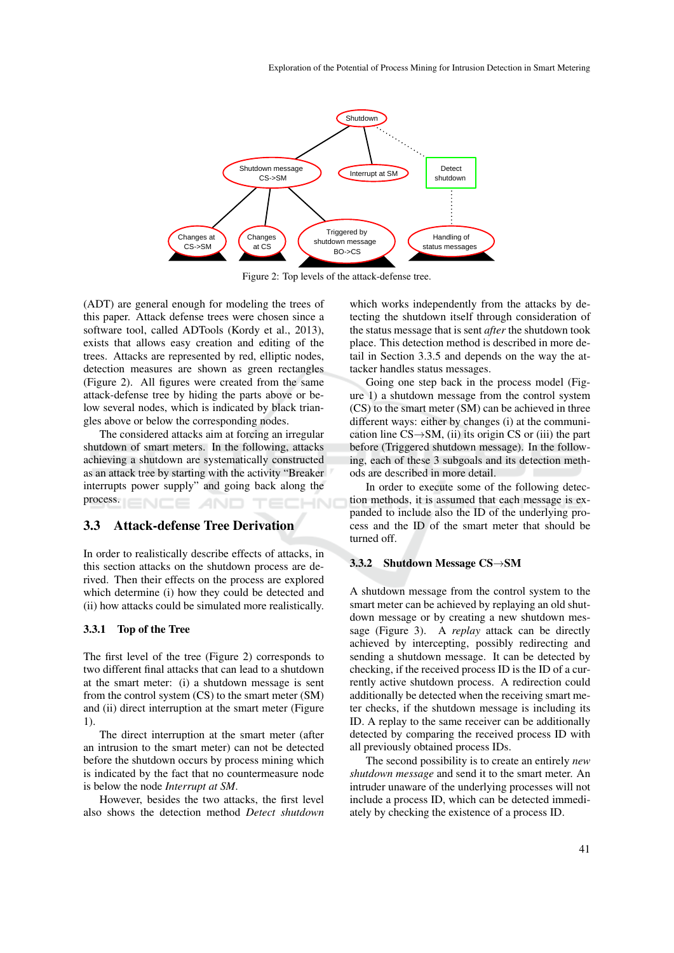

Figure 2: Top levels of the attack-defense tree.

(ADT) are general enough for modeling the trees of this paper. Attack defense trees were chosen since a software tool, called ADTools (Kordy et al., 2013), exists that allows easy creation and editing of the trees. Attacks are represented by red, elliptic nodes, detection measures are shown as green rectangles (Figure 2). All figures were created from the same attack-defense tree by hiding the parts above or below several nodes, which is indicated by black triangles above or below the corresponding nodes.

The considered attacks aim at forcing an irregular shutdown of smart meters. In the following, attacks achieving a shutdown are systematically constructed as an attack tree by starting with the activity "Breaker interrupts power supply" and going back along the process.

### 3.3 Attack-defense Tree Derivation

In order to realistically describe effects of attacks, in this section attacks on the shutdown process are derived. Then their effects on the process are explored which determine (i) how they could be detected and (ii) how attacks could be simulated more realistically.

#### 3.3.1 Top of the Tree

The first level of the tree (Figure 2) corresponds to two different final attacks that can lead to a shutdown at the smart meter: (i) a shutdown message is sent from the control system (CS) to the smart meter (SM) and (ii) direct interruption at the smart meter (Figure 1).

The direct interruption at the smart meter (after an intrusion to the smart meter) can not be detected before the shutdown occurs by process mining which is indicated by the fact that no countermeasure node is below the node *Interrupt at SM*.

However, besides the two attacks, the first level also shows the detection method *Detect shutdown* which works independently from the attacks by detecting the shutdown itself through consideration of the status message that is sent *after* the shutdown took place. This detection method is described in more detail in Section 3.3.5 and depends on the way the attacker handles status messages.

Going one step back in the process model (Figure 1) a shutdown message from the control system (CS) to the smart meter (SM) can be achieved in three different ways: either by changes (i) at the communication line  $CS \rightarrow SM$ , (ii) its origin CS or (iii) the part before (Triggered shutdown message). In the following, each of these 3 subgoals and its detection methods are described in more detail.

In order to execute some of the following detection methods, it is assumed that each message is expanded to include also the ID of the underlying process and the ID of the smart meter that should be turned off.

#### 3.3.2 Shutdown Message CS→SM

A shutdown message from the control system to the smart meter can be achieved by replaying an old shutdown message or by creating a new shutdown message (Figure 3). A *replay* attack can be directly achieved by intercepting, possibly redirecting and sending a shutdown message. It can be detected by checking, if the received process ID is the ID of a currently active shutdown process. A redirection could additionally be detected when the receiving smart meter checks, if the shutdown message is including its ID. A replay to the same receiver can be additionally detected by comparing the received process ID with all previously obtained process IDs.

The second possibility is to create an entirely *new shutdown message* and send it to the smart meter. An intruder unaware of the underlying processes will not include a process ID, which can be detected immediately by checking the existence of a process ID.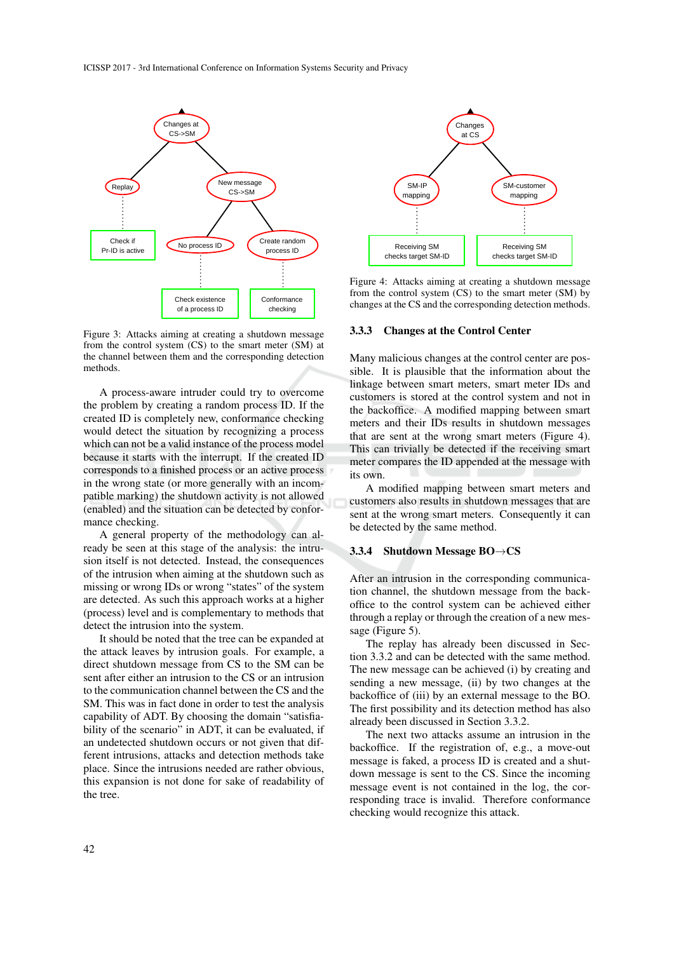

Figure 3: Attacks aiming at creating a shutdown message from the control system (CS) to the smart meter (SM) at the channel between them and the corresponding detection methods.

A process-aware intruder could try to overcome the problem by creating a random process ID. If the created ID is completely new, conformance checking would detect the situation by recognizing a process which can not be a valid instance of the process model because it starts with the interrupt. If the created ID corresponds to a finished process or an active process in the wrong state (or more generally with an incompatible marking) the shutdown activity is not allowed (enabled) and the situation can be detected by conformance checking.

A general property of the methodology can already be seen at this stage of the analysis: the intrusion itself is not detected. Instead, the consequences of the intrusion when aiming at the shutdown such as missing or wrong IDs or wrong "states" of the system are detected. As such this approach works at a higher (process) level and is complementary to methods that detect the intrusion into the system.

It should be noted that the tree can be expanded at the attack leaves by intrusion goals. For example, a direct shutdown message from CS to the SM can be sent after either an intrusion to the CS or an intrusion to the communication channel between the CS and the SM. This was in fact done in order to test the analysis capability of ADT. By choosing the domain "satisfiability of the scenario" in ADT, it can be evaluated, if an undetected shutdown occurs or not given that different intrusions, attacks and detection methods take place. Since the intrusions needed are rather obvious, this expansion is not done for sake of readability of the tree.



Figure 4: Attacks aiming at creating a shutdown message from the control system  $(CS)$  to the smart meter  $(SM)$  by changes at the CS and the corresponding detection methods.

#### 3.3.3 Changes at the Control Center

Many malicious changes at the control center are possible. It is plausible that the information about the linkage between smart meters, smart meter IDs and customers is stored at the control system and not in the backoffice. A modified mapping between smart meters and their IDs results in shutdown messages that are sent at the wrong smart meters (Figure 4). This can trivially be detected if the receiving smart meter compares the ID appended at the message with its own.

A modified mapping between smart meters and customers also results in shutdown messages that are sent at the wrong smart meters. Consequently it can be detected by the same method.

#### 3.3.4 Shutdown Message BO→CS

After an intrusion in the corresponding communication channel, the shutdown message from the backoffice to the control system can be achieved either through a replay or through the creation of a new message (Figure 5).

The replay has already been discussed in Section 3.3.2 and can be detected with the same method. The new message can be achieved (i) by creating and sending a new message, (ii) by two changes at the backoffice of (iii) by an external message to the BO. The first possibility and its detection method has also already been discussed in Section 3.3.2.

The next two attacks assume an intrusion in the backoffice. If the registration of, e.g., a move-out message is faked, a process ID is created and a shutdown message is sent to the CS. Since the incoming message event is not contained in the log, the corresponding trace is invalid. Therefore conformance checking would recognize this attack.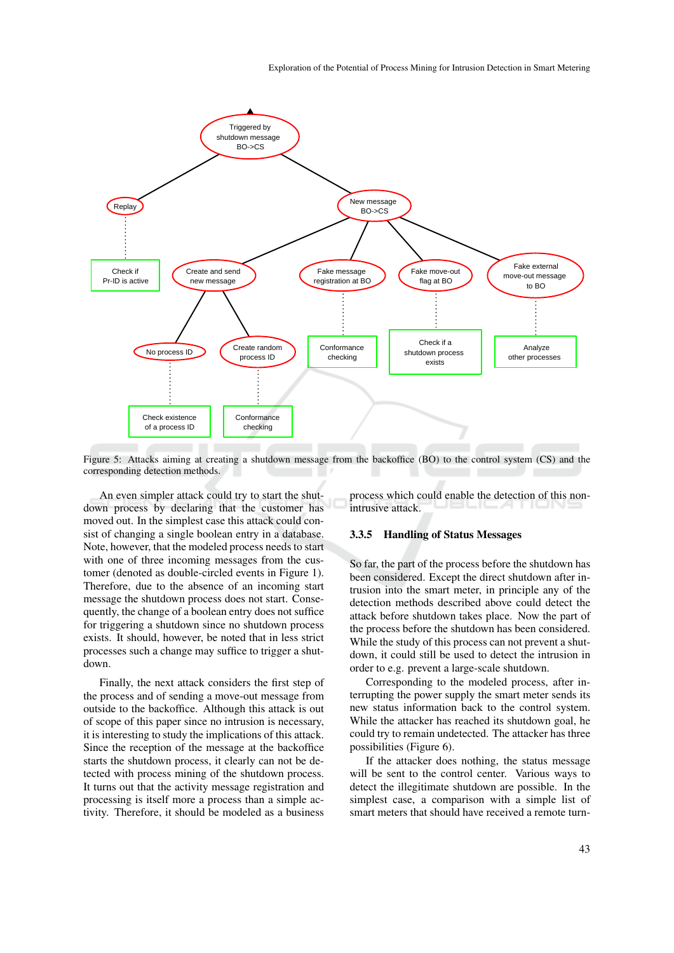

Figure 5: Attacks aiming at creating a shutdown message from the backoffice (BO) to the control system (CS) and the corresponding detection methods.

An even simpler attack could try to start the shutdown process by declaring that the customer has moved out. In the simplest case this attack could consist of changing a single boolean entry in a database. Note, however, that the modeled process needs to start with one of three incoming messages from the customer (denoted as double-circled events in Figure 1). Therefore, due to the absence of an incoming start message the shutdown process does not start. Consequently, the change of a boolean entry does not suffice for triggering a shutdown since no shutdown process exists. It should, however, be noted that in less strict processes such a change may suffice to trigger a shutdown.

Finally, the next attack considers the first step of the process and of sending a move-out message from outside to the backoffice. Although this attack is out of scope of this paper since no intrusion is necessary, it is interesting to study the implications of this attack. Since the reception of the message at the backoffice starts the shutdown process, it clearly can not be detected with process mining of the shutdown process. It turns out that the activity message registration and processing is itself more a process than a simple activity. Therefore, it should be modeled as a business

process which could enable the detection of this nonintrusive attack.

#### 3.3.5 Handling of Status Messages

So far, the part of the process before the shutdown has been considered. Except the direct shutdown after intrusion into the smart meter, in principle any of the detection methods described above could detect the attack before shutdown takes place. Now the part of the process before the shutdown has been considered. While the study of this process can not prevent a shutdown, it could still be used to detect the intrusion in order to e.g. prevent a large-scale shutdown.

Corresponding to the modeled process, after interrupting the power supply the smart meter sends its new status information back to the control system. While the attacker has reached its shutdown goal, he could try to remain undetected. The attacker has three possibilities (Figure 6).

If the attacker does nothing, the status message will be sent to the control center. Various ways to detect the illegitimate shutdown are possible. In the simplest case, a comparison with a simple list of smart meters that should have received a remote turn-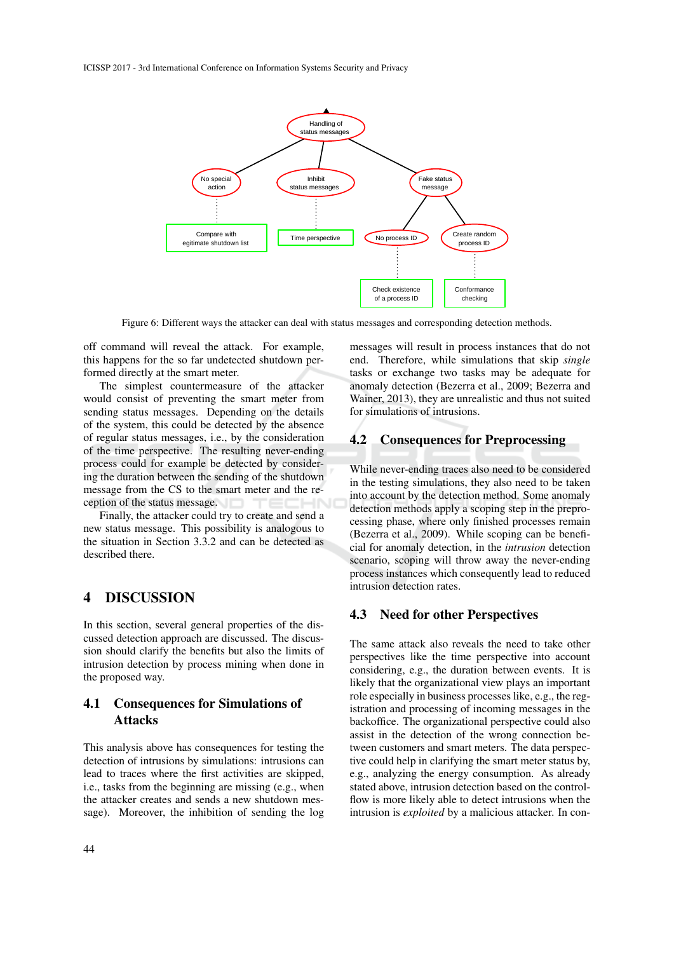

Figure 6: Different ways the attacker can deal with status messages and corresponding detection methods.

off command will reveal the attack. For example, this happens for the so far undetected shutdown performed directly at the smart meter.

The simplest countermeasure of the attacker would consist of preventing the smart meter from sending status messages. Depending on the details of the system, this could be detected by the absence of regular status messages, i.e., by the consideration of the time perspective. The resulting never-ending process could for example be detected by considering the duration between the sending of the shutdown message from the CS to the smart meter and the reception of the status message.

Finally, the attacker could try to create and send a new status message. This possibility is analogous to the situation in Section 3.3.2 and can be detected as described there.

## 4 DISCUSSION

In this section, several general properties of the discussed detection approach are discussed. The discussion should clarify the benefits but also the limits of intrusion detection by process mining when done in the proposed way.

# 4.1 Consequences for Simulations of **Attacks**

This analysis above has consequences for testing the detection of intrusions by simulations: intrusions can lead to traces where the first activities are skipped, i.e., tasks from the beginning are missing (e.g., when the attacker creates and sends a new shutdown message). Moreover, the inhibition of sending the log messages will result in process instances that do not end. Therefore, while simulations that skip *single* tasks or exchange two tasks may be adequate for anomaly detection (Bezerra et al., 2009; Bezerra and Wainer, 2013), they are unrealistic and thus not suited for simulations of intrusions.

## 4.2 Consequences for Preprocessing

While never-ending traces also need to be considered in the testing simulations, they also need to be taken into account by the detection method. Some anomaly detection methods apply a scoping step in the preprocessing phase, where only finished processes remain (Bezerra et al., 2009). While scoping can be beneficial for anomaly detection, in the *intrusion* detection scenario, scoping will throw away the never-ending process instances which consequently lead to reduced intrusion detection rates.

### 4.3 Need for other Perspectives

The same attack also reveals the need to take other perspectives like the time perspective into account considering, e.g., the duration between events. It is likely that the organizational view plays an important role especially in business processes like, e.g., the registration and processing of incoming messages in the backoffice. The organizational perspective could also assist in the detection of the wrong connection between customers and smart meters. The data perspective could help in clarifying the smart meter status by, e.g., analyzing the energy consumption. As already stated above, intrusion detection based on the controlflow is more likely able to detect intrusions when the intrusion is *exploited* by a malicious attacker. In con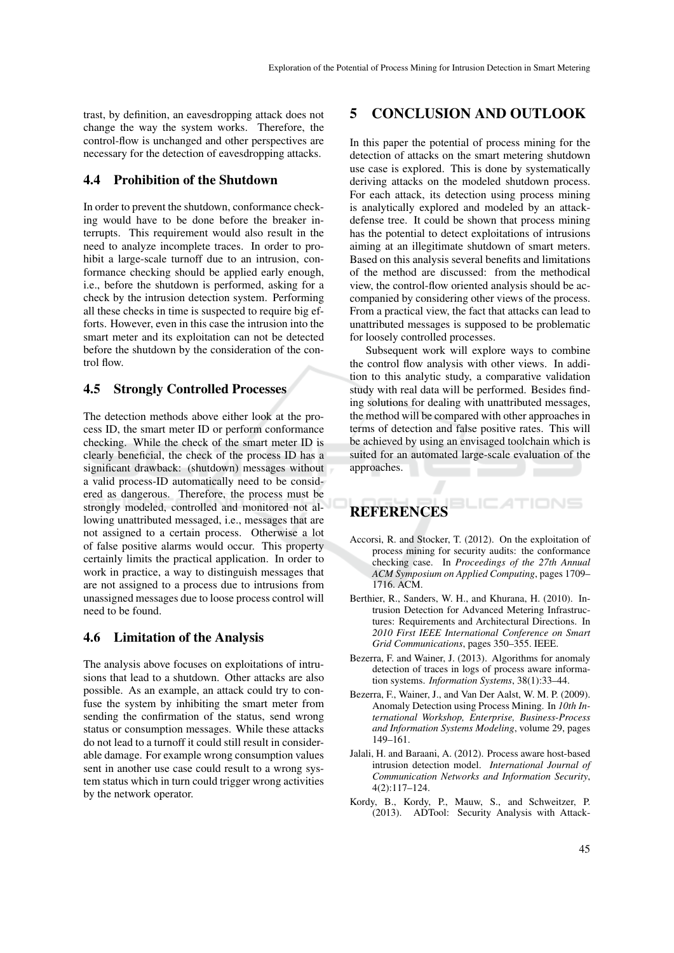trast, by definition, an eavesdropping attack does not change the way the system works. Therefore, the control-flow is unchanged and other perspectives are necessary for the detection of eavesdropping attacks.

## 4.4 Prohibition of the Shutdown

In order to prevent the shutdown, conformance checking would have to be done before the breaker interrupts. This requirement would also result in the need to analyze incomplete traces. In order to prohibit a large-scale turnoff due to an intrusion, conformance checking should be applied early enough, i.e., before the shutdown is performed, asking for a check by the intrusion detection system. Performing all these checks in time is suspected to require big efforts. However, even in this case the intrusion into the smart meter and its exploitation can not be detected before the shutdown by the consideration of the control flow.

### 4.5 Strongly Controlled Processes

The detection methods above either look at the process ID, the smart meter ID or perform conformance checking. While the check of the smart meter ID is clearly beneficial, the check of the process ID has a significant drawback: (shutdown) messages without a valid process-ID automatically need to be considered as dangerous. Therefore, the process must be strongly modeled, controlled and monitored not allowing unattributed messaged, i.e., messages that are not assigned to a certain process. Otherwise a lot of false positive alarms would occur. This property certainly limits the practical application. In order to work in practice, a way to distinguish messages that are not assigned to a process due to intrusions from unassigned messages due to loose process control will need to be found.

### 4.6 Limitation of the Analysis

The analysis above focuses on exploitations of intrusions that lead to a shutdown. Other attacks are also possible. As an example, an attack could try to confuse the system by inhibiting the smart meter from sending the confirmation of the status, send wrong status or consumption messages. While these attacks do not lead to a turnoff it could still result in considerable damage. For example wrong consumption values sent in another use case could result to a wrong system status which in turn could trigger wrong activities by the network operator.

# 5 CONCLUSION AND OUTLOOK

In this paper the potential of process mining for the detection of attacks on the smart metering shutdown use case is explored. This is done by systematically deriving attacks on the modeled shutdown process. For each attack, its detection using process mining is analytically explored and modeled by an attackdefense tree. It could be shown that process mining has the potential to detect exploitations of intrusions aiming at an illegitimate shutdown of smart meters. Based on this analysis several benefits and limitations of the method are discussed: from the methodical view, the control-flow oriented analysis should be accompanied by considering other views of the process. From a practical view, the fact that attacks can lead to unattributed messages is supposed to be problematic for loosely controlled processes.

Subsequent work will explore ways to combine the control flow analysis with other views. In addition to this analytic study, a comparative validation study with real data will be performed. Besides finding solutions for dealing with unattributed messages, the method will be compared with other approaches in terms of detection and false positive rates. This will be achieved by using an envisaged toolchain which is suited for an automated large-scale evaluation of the approaches.

# **REFERENCES**

Accorsi, R. and Stocker, T. (2012). On the exploitation of process mining for security audits: the conformance checking case. In *Proceedings of the 27th Annual ACM Symposium on Applied Computing*, pages 1709– 1716. ACM.

TIONS

- Berthier, R., Sanders, W. H., and Khurana, H. (2010). Intrusion Detection for Advanced Metering Infrastructures: Requirements and Architectural Directions. In *2010 First IEEE International Conference on Smart Grid Communications*, pages 350–355. IEEE.
- Bezerra, F. and Wainer, J. (2013). Algorithms for anomaly detection of traces in logs of process aware information systems. *Information Systems*, 38(1):33–44.
- Bezerra, F., Wainer, J., and Van Der Aalst, W. M. P. (2009). Anomaly Detection using Process Mining. In *10th International Workshop, Enterprise, Business-Process and Information Systems Modeling*, volume 29, pages 149–161.
- Jalali, H. and Baraani, A. (2012). Process aware host-based intrusion detection model. *International Journal of Communication Networks and Information Security*, 4(2):117–124.
- Kordy, B., Kordy, P., Mauw, S., and Schweitzer, P. (2013). ADTool: Security Analysis with Attack-